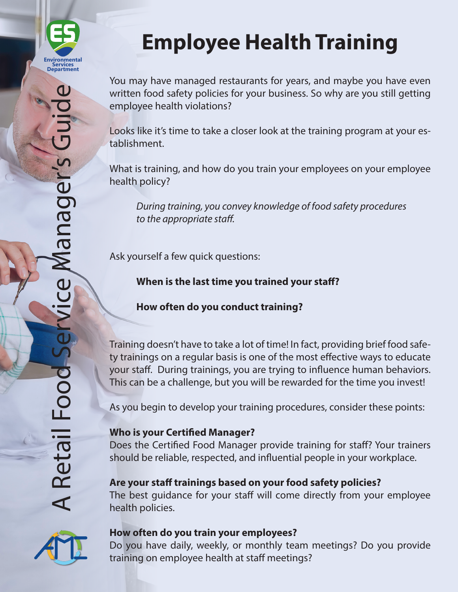

# **Employee Health Training**

You may have managed restaurants for years, and maybe you have even written food safety policies for your business. So why are you still getting employee health violations?

Looks like it's time to take a closer look at the training program at your establishment.

What is training, and how do you train your employees on your employee health policy?

*During training, you convey knowledge of food safety procedures to the appropriate staff.*

Ask yourself a few quick questions:

**When is the last time you trained your staff?**

# **How often do you conduct training?**

Training doesn't have to take a lot of time! In fact, providing brief food safety trainings on a regular basis is one of the most effective ways to educate your staff. During trainings, you are trying to influence human behaviors. This can be a challenge, but you will be rewarded for the time you invest!

As you begin to develop your training procedures, consider these points:

## **Who is your Certified Manager?**

Does the Certified Food Manager provide training for staff? Your trainers should be reliable, respected, and influential people in your workplace.

# **Are your staff trainings based on your food safety policies?**

The best guidance for your staff will come directly from your employee health policies.



## **How often do you train your employees?**

Do you have daily, weekly, or monthly team meetings? Do you provide training on employee health at staff meetings?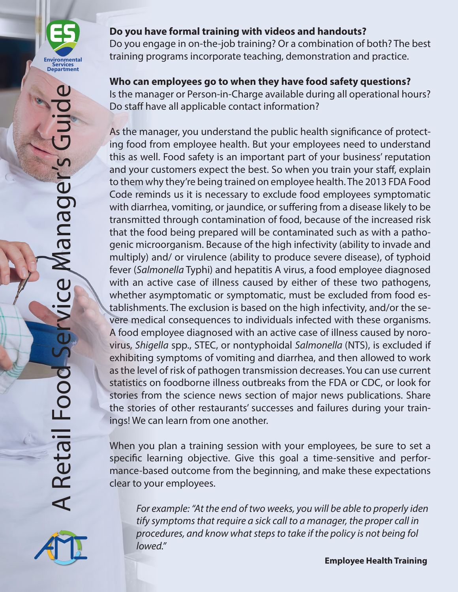

#### **Do you have formal training with videos and handouts?**

Do you engage in on-the-job training? Or a combination of both? The best training programs incorporate teaching, demonstration and practice.

## **Who can employees go to when they have food safety questions?**

Is the manager or Person-in-Charge available during all operational hours? Do staff have all applicable contact information?

As the manager, you understand the public health significance of protecting food from employee health. But your employees need to understand this as well. Food safety is an important part of your business' reputation and your customers expect the best. So when you train your staff, explain to them why they're being trained on employee health. The 2013 FDA Food Code reminds us it is necessary to exclude food employees symptomatic with diarrhea, vomiting, or jaundice, or suffering from a disease likely to be transmitted through contamination of food, because of the increased risk that the food being prepared will be contaminated such as with a pathogenic microorganism. Because of the high infectivity (ability to invade and multiply) and/ or virulence (ability to produce severe disease), of typhoid fever (*Salmonella* Typhi) and hepatitis A virus, a food employee diagnosed with an active case of illness caused by either of these two pathogens, whether asymptomatic or symptomatic, must be excluded from food establishments. The exclusion is based on the high infectivity, and/or the severe medical consequences to individuals infected with these organisms. A food employee diagnosed with an active case of illness caused by norovirus, *Shigella* spp., STEC, or nontyphoidal *Salmonella* (NTS), is excluded if exhibiting symptoms of vomiting and diarrhea, and then allowed to work as the level of risk of pathogen transmission decreases. You can use current statistics on foodborne illness outbreaks from the FDA or CDC, or look for stories from the science news section of major news publications. Share the stories of other restaurants' successes and failures during your trainings! We can learn from one another.

When you plan a training session with your employees, be sure to set a specific learning objective. Give this goal a time-sensitive and performance-based outcome from the beginning, and make these expectations clear to your employees.

*For example: "At the end of two weeks, you will be able to properly iden tify symptoms that require a sick call to a manager, the proper call in procedures, and know what steps to take if the policy is not being fol lowed."*